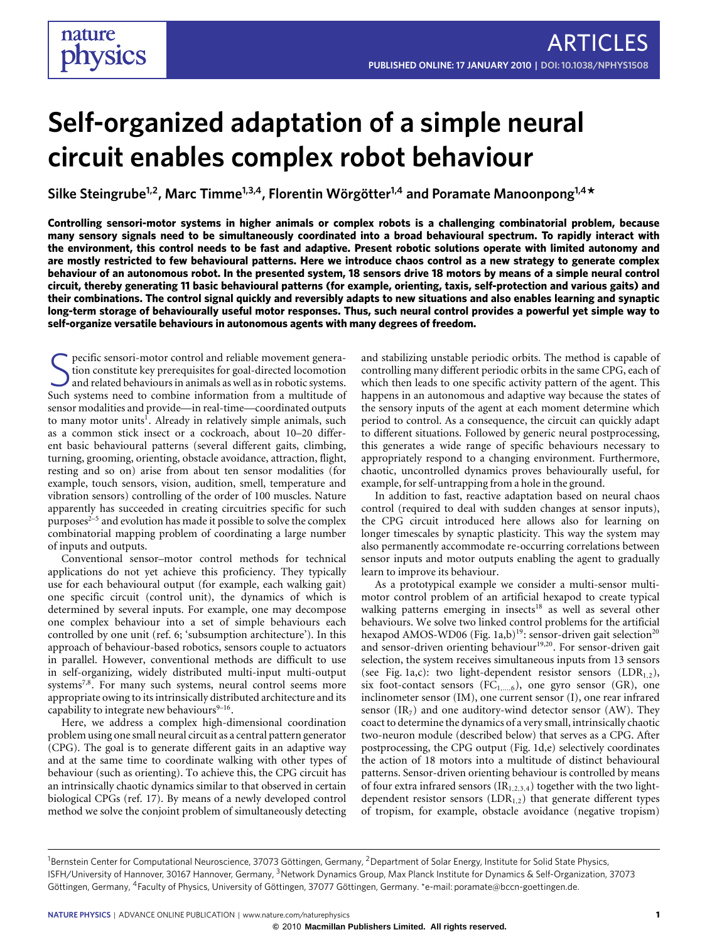# **Self-organized adaptation of a simple neural circuit enables complex robot behaviour**

**Silke Steingrube1,2, Marc Timme1,3,4, Florentin Wörgötter1,4 and Poramate Manoonpong1,4\***

**Controlling sensori-motor systems in higher animals or complex robots is a challenging combinatorial problem, because many sensory signals need to be simultaneously coordinated into a broad behavioural spectrum. To rapidly interact with the environment, this control needs to be fast and adaptive. Present robotic solutions operate with limited autonomy and are mostly restricted to few behavioural patterns. Here we introduce chaos control as a new strategy to generate complex behaviour of an autonomous robot. In the presented system, 18 sensors drive 18 motors by means of a simple neural control circuit, thereby generating 11 basic behavioural patterns (for example, orienting, taxis, self-protection and various gaits) and their combinations. The control signal quickly and reversibly adapts to new situations and also enables learning and synaptic long-term storage of behaviourally useful motor responses. Thus, such neural control provides a powerful yet simple way to self-organize versatile behaviours in autonomous agents with many degrees of freedom.**

Such systems need to control and reliable movement generation constitute key prerequisites for goal-directed locomotion and related behaviours in animals as well as in robotic systems. Such systems need to combine informat pecific sensori-motor control and reliable movement generation constitute key prerequisites for goal-directed locomotion and related behaviours in animals as well as in robotic systems. sensor modalities and provide—in real-time—coordinated outputs to many motor units<sup>[1](#page-6-0)</sup>. Already in relatively simple animals, such as a common stick insect or a cockroach, about 10–20 different basic behavioural patterns (several different gaits, climbing, turning, grooming, orienting, obstacle avoidance, attraction, flight, resting and so on) arise from about ten sensor modalities (for example, touch sensors, vision, audition, smell, temperature and vibration sensors) controlling of the order of 100 muscles. Nature apparently has succeeded in creating circuitries specific for such  $\mu$ <sub>purposes</sub><sup>[2](#page-6-1)-5</sup> and evolution has made it possible to solve the complex combinatorial mapping problem of coordinating a large number of inputs and outputs.

Conventional sensor–motor control methods for technical applications do not yet achieve this proficiency. They typically use for each behavioural output (for example, each walking gait) one specific circuit (control unit), the dynamics of which is determined by several inputs. For example, one may decompose one complex behaviour into a set of simple behaviours each controlled by one unit (ref. [6;](#page-6-3) 'subsumption architecture'). In this approach of behaviour-based robotics, sensors couple to actuators in parallel. However, conventional methods are difficult to use in self-organizing, widely distributed multi-input multi-output systems<sup>[7,](#page-6-4)[8](#page-6-5)</sup>. For many such systems, neural control seems more appropriate owing to its intrinsically distributed architecture and its capability to integrate new behaviours $9-16$  $9-16$ .

Here, we address a complex high-dimensional coordination problem using one small neural circuit as a central pattern generator (CPG). The goal is to generate different gaits in an adaptive way and at the same time to coordinate walking with other types of behaviour (such as orienting). To achieve this, the CPG circuit has an intrinsically chaotic dynamics similar to that observed in certain biological CPGs (ref. [17\)](#page-6-8). By means of a newly developed control method we solve the conjoint problem of simultaneously detecting

and stabilizing unstable periodic orbits. The method is capable of controlling many different periodic orbits in the same CPG, each of which then leads to one specific activity pattern of the agent. This happens in an autonomous and adaptive way because the states of the sensory inputs of the agent at each moment determine which period to control. As a consequence, the circuit can quickly adapt to different situations. Followed by generic neural postprocessing, this generates a wide range of specific behaviours necessary to appropriately respond to a changing environment. Furthermore, chaotic, uncontrolled dynamics proves behaviourally useful, for example, for self-untrapping from a hole in the ground.

In addition to fast, reactive adaptation based on neural chaos control (required to deal with sudden changes at sensor inputs), the CPG circuit introduced here allows also for learning on longer timescales by synaptic plasticity. This way the system may also permanently accommodate re-occurring correlations between sensor inputs and motor outputs enabling the agent to gradually learn to improve its behaviour.

As a prototypical example we consider a multi-sensor multimotor control problem of an artificial hexapod to create typical walking patterns emerging in insects<sup>[18](#page-6-9)</sup> as well as several other behaviours. We solve two linked control problems for the artificial hexapod AMOS-WD06 [\(Fig. 1a](#page-1-0),b)<sup>[19](#page-6-10)</sup>: sensor-driven gait selection<sup>[20](#page-6-11)</sup> and sensor-driven orienting behaviour<sup>[19,](#page-6-10)[20](#page-6-11)</sup>. For sensor-driven gait selection, the system receives simultaneous inputs from 13 sensors (see [Fig. 1a](#page-1-0),c): two light-dependent resistor sensors  $(LDR_{1,2})$ , six foot-contact sensors ( $FC<sub>1,...,6</sub>$ ), one gyro sensor (GR), one inclinometer sensor (IM), one current sensor (I), one rear infrared sensor  $(IR<sub>7</sub>)$  and one auditory-wind detector sensor  $(AW)$ . They coact to determine the dynamics of a very small, intrinsically chaotic two-neuron module (described below) that serves as a CPG. After postprocessing, the CPG output [\(Fig. 1d](#page-1-0),e) selectively coordinates the action of 18 motors into a multitude of distinct behavioural patterns. Sensor-driven orienting behaviour is controlled by means of four extra infrared sensors  $\text{(IR}_{1,2,3,4}\text{)}$  together with the two lightdependent resistor sensors  $(LDR_{1,2})$  that generate different types of tropism, for example, obstacle avoidance (negative tropism)

<sup>1</sup>Bernstein Center for Computational Neuroscience, 37073 Göttingen, Germany, <sup>2</sup>Department of Solar Energy, Institute for Solid State Physics, ISFH/University of Hannover, 30167 Hannover, Germany, <sup>3</sup>Network Dynamics Group, Max Planck Institute for Dynamics & Self-Organization, 37073 Göttingen, Germany, <sup>4</sup>Faculty of Physics, University of Göttingen, 37077 Göttingen, Germany. \*e-mail: [poramate@bccn-goettingen.de.](mailto:poramate@bccn-goettingen.de)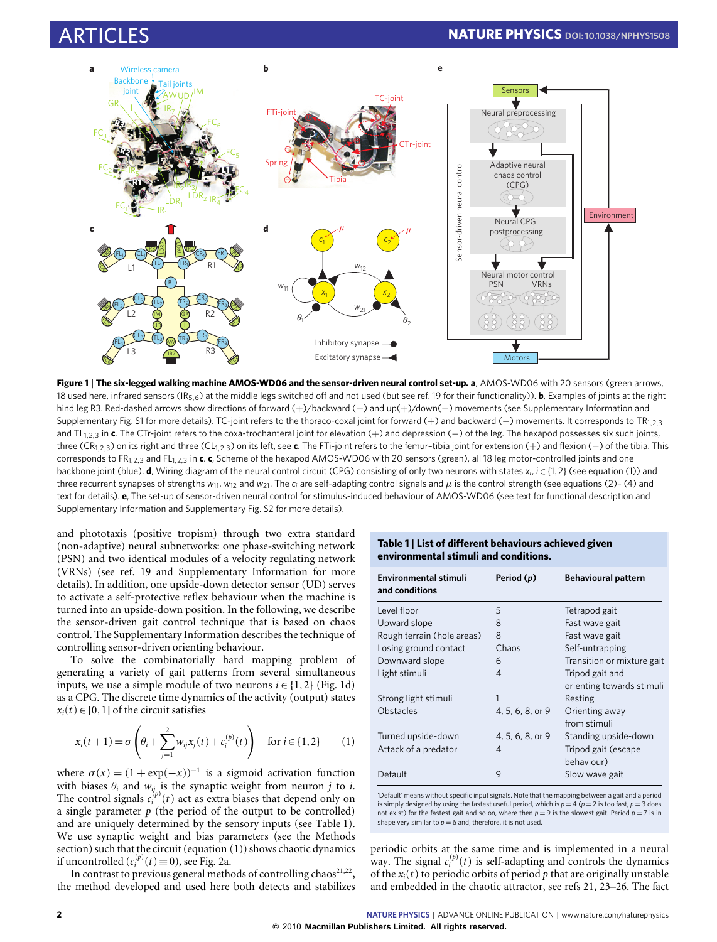

<span id="page-1-0"></span>Figure 1 | The six-legged walking machine AMOS-WD06 and the sensor-driven neural control set-up. a, AMOS-WD06 with 20 sensors (green arrows, 18 used here, infrared sensors (IR<sub>56</sub>) at the middle legs switched off and not used (but see ref. [19](#page-6-10) for their functionality)). **b**, Examples of joints at the right hind leg R3. Red-dashed arrows show directions of forward (+)/backward (−) and up(+)/down(−) movements (see Supplementary Information and Supplementary Fig. S1 for more details). TC-joint refers to the thoraco-coxal joint for forward (+) and backward (-) movements. It corresponds to TR<sub>123</sub> and TL<sub>1,2,3</sub> in c. The CTr-joint refers to the coxa-trochanteral joint for elevation (+) and depression (-) of the leg. The hexapod possesses six such joints, three (CR1,2,3) on its right and three (CL1,2,3) on its left, see **c**. The FTi-joint refers to the femur–tibia joint for extension (+) and flexion (−) of the tibia. This corresponds to FR<sub>1,2,3</sub> and FL<sub>1,2,3</sub> in **c**. **c**, Scheme of the hexapod AMOS-WD06 with 20 sensors (green), all 18 leg motor-controlled joints and one backbone joint (blue). **d**, Wiring diagram of the neural control circuit (CPG) consisting of only two neurons with states *x<sup>i</sup>* , *i* ∈ {1,2} (see equation [\(1\)\)](#page-1-1) and three recurrent synapses of strengths  $w_{11}$ ,  $w_{12}$  and  $w_{21}$ . The  $c_i$  are self-adapting control signals and  $\mu$  is the control strength (see equations [\(2\)–](#page-2-0) [\(4\)](#page-2-1) and text for details). **e**, The set-up of sensor-driven neural control for stimulus-induced behaviour of AMOS-WD06 (see text for functional description and Supplementary Information and Supplementary Fig. S2 for more details).

and phototaxis (positive tropism) through two extra standard (non-adaptive) neural subnetworks: one phase-switching network (PSN) and two identical modules of a velocity regulating network (VRNs) (see ref. [19](#page-6-10) and Supplementary Information for more details). In addition, one upside-down detector sensor (UD) serves to activate a self-protective reflex behaviour when the machine is turned into an upside-down position. In the following, we describe the sensor-driven gait control technique that is based on chaos control. The Supplementary Information describes the technique of controlling sensor-driven orienting behaviour.

To solve the combinatorially hard mapping problem of generating a variety of gait patterns from several simultaneous inputs, we use a simple module of two neurons  $i \in \{1, 2\}$  [\(Fig. 1d](#page-1-0)) as a CPG. The discrete time dynamics of the activity (output) states  $x_i(t) \in [0,1]$  of the circuit satisfies

<span id="page-1-1"></span>
$$
x_i(t+1) = \sigma \left(\theta_i + \sum_{j=1}^2 w_{ij} x_j(t) + c_i^{(p)}(t)\right) \quad \text{for } i \in \{1, 2\} \tag{1}
$$

where  $\sigma(x) = (1 + \exp(-x))^{-1}$  is a sigmoid activation function with biases  $\theta_i$  and  $w_{ij}$  is the synaptic weight from neuron *j* to *i*. The control signals  $c_i^{(p)}(t)$  act as extra biases that depend only on a single parameter  $p$  (the period of the output to be controlled) and are uniquely determined by the sensory inputs (see [Table 1\)](#page-1-2). We use synaptic weight and bias parameters (see the Methods section) such that the circuit (equation [\(1\)](#page-1-1)) shows chaotic dynamics if uncontrolled  $(c_i^{(p)}(t) \equiv 0)$ , see [Fig. 2a](#page-2-2).

In contrast to previous general methods of controlling chaos $^{21,22},$  $^{21,22},$  $^{21,22},$  $^{21,22},$ the method developed and used here both detects and stabilizes

# <span id="page-1-2"></span>**Table 1** | **List of different behaviours achieved given environmental stimuli and conditions.**

| Environmental stimuli<br>and conditions | Period (p)       | <b>Behavioural pattern</b> |
|-----------------------------------------|------------------|----------------------------|
| Level floor                             | 5                | Tetrapod gait              |
| Upward slope                            | 8                | Fast wave gait             |
| Rough terrain (hole areas)              | 8                | Fast wave gait             |
| Losing ground contact                   | Chaos            | Self-untrapping            |
| Downward slope                          | 6                | Transition or mixture gait |
| Light stimuli                           | $\overline{4}$   | Tripod gait and            |
|                                         |                  | orienting towards stimuli  |
| Strong light stimuli                    | 1                | Resting                    |
| Obstacles                               | 4, 5, 6, 8, or 9 | Orienting away             |
|                                         |                  | from stimuli               |
| Turned upside-down                      | 4, 5, 6, 8, or 9 | Standing upside-down       |
| Attack of a predator                    | $\overline{4}$   | Tripod gait (escape        |
|                                         |                  | behaviour)                 |
| Default                                 | 9                | Slow wave gait             |

'Default' means without specific input signals. Note that the mapping between a gait and a period is simply designed by using the fastest useful period, which is  $p = 4$  ( $p = 2$  is too fast,  $p = 3$  does not exist) for the fastest gait and so on, where then  $p = 9$  is the slowest gait. Period  $p = 7$  is in shape very similar to  $p = 6$  and, therefore, it is not used.

periodic orbits at the same time and is implemented in a neural way. The signal  $c_i^{(p)}(t)$  is self-adapting and controls the dynamics of the  $x_i(t)$  to periodic orbits of period  $p$  that are originally unstable and embedded in the chaotic attractor, see refs [21,](#page-6-12) [23–](#page-6-14)[26.](#page-6-15) The fact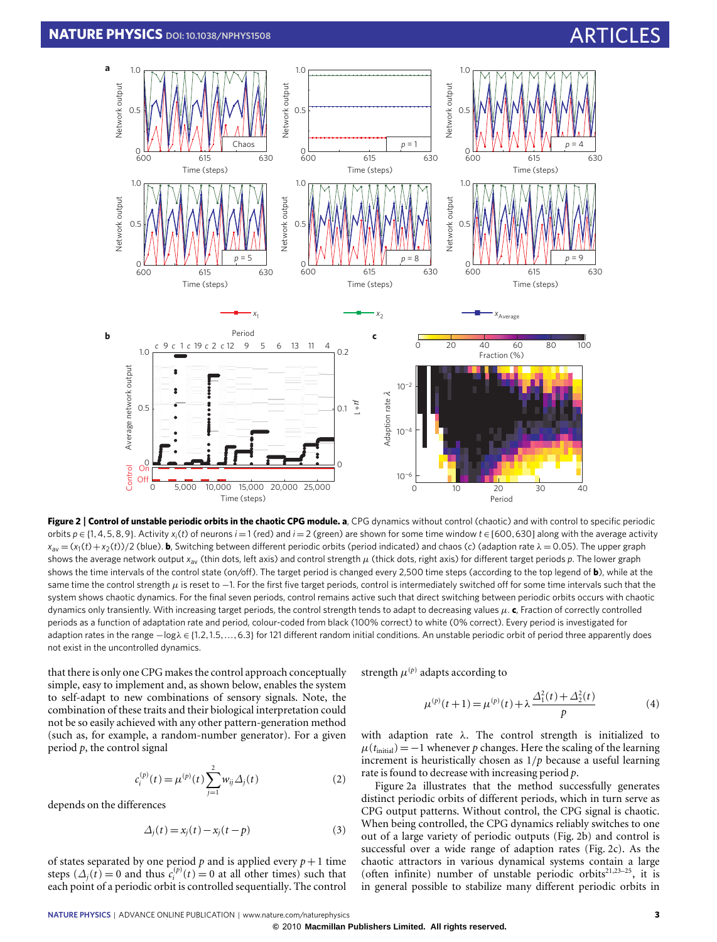

<span id="page-2-2"></span>**Figure 2** | **Control of unstable periodic orbits in the chaotic CPG module. a**, CPG dynamics without control (chaotic) and with control to specific periodic orbits  $p \in \{1, 4, 5, 8, 9\}$ . Activity  $x_i(t)$  of neurons  $i = 1$  (red) and  $i = 2$  (green) are shown for some time window  $t \in [600, 630]$  along with the average activity  $x_{av} = (x_1(t) + x_2(t))/2$  (blue). **b**, Switching between different periodic orbits (period indicated) and chaos (*c*) (adaption rate  $\lambda = 0.05$ ). The upper graph shows the average network output  $x_{av}$  (thin dots, left axis) and control strength  $\mu$  (thick dots, right axis) for different target periods p. The lower graph shows the time intervals of the control state (on/off). The target period is changed every 2,500 time steps (according to the top legend of **b**), while at the same time the control strength  $\mu$  is reset to -1. For the first five target periods, control is intermediately switched off for some time intervals such that the system shows chaotic dynamics. For the final seven periods, control remains active such that direct switching between periodic orbits occurs with chaotic dynamics only transiently. With increasing target periods, the control strength tends to adapt to decreasing values  $\mu$ . **c**, Fraction of correctly controlled periods as a function of adaptation rate and period, colour-coded from black (100% correct) to white (0% correct). Every period is investigated for adaption rates in the range −log $\lambda \in \{1.2, 1.5, ..., 6.3\}$  for 121 different random initial conditions. An unstable periodic orbit of period three apparently does not exist in the uncontrolled dynamics.

that there is only one CPG makes the control approach conceptually simple, easy to implement and, as shown below, enables the system to self-adapt to new combinations of sensory signals. Note, the combination of these traits and their biological interpretation could not be so easily achieved with any other pattern-generation method (such as, for example, a random-number generator). For a given period *p*, the control signal

<span id="page-2-0"></span>
$$
c_i^{(p)}(t) = \mu^{(p)}(t) \sum_{j=1}^2 w_{ij} \Delta_j(t)
$$
 (2)

depends on the differences

$$
\Delta_j(t) = x_j(t) - x_j(t - p) \tag{3}
$$

of states separated by one period *p* and is applied every  $p + 1$  time steps  $(\Delta_j(t)) = 0$  and thus  $c_i^{(p)}(t) = 0$  at all other times) such that each point of a periodic orbit is controlled sequentially. The control strength  $\mu^{(p)}$  adapts according to

<span id="page-2-1"></span>
$$
\mu^{(p)}(t+1) = \mu^{(p)}(t) + \lambda \frac{\Delta_1^2(t) + \Delta_2^2(t)}{p}
$$
\n(4)

with adaption rate λ. The control strength is initialized to  $\mu(t<sub>initial</sub>) = -1$  whenever *p* changes. Here the scaling of the learning increment is heuristically chosen as 1/*p* because a useful learning rate is found to decrease with increasing period *p*.

[Figure 2a](#page-2-2) illustrates that the method successfully generates distinct periodic orbits of different periods, which in turn serve as CPG output patterns. Without control, the CPG signal is chaotic. When being controlled, the CPG dynamics reliably switches to one out of a large variety of periodic outputs [\(Fig. 2b](#page-2-2)) and control is successful over a wide range of adaption rates [\(Fig. 2c](#page-2-2)). As the chaotic attractors in various dynamical systems contain a large (often infinite) number of unstable periodic orbits<sup>[21,](#page-6-12)23-[25](#page-6-16)</sup>, it is in general possible to stabilize many different periodic orbits in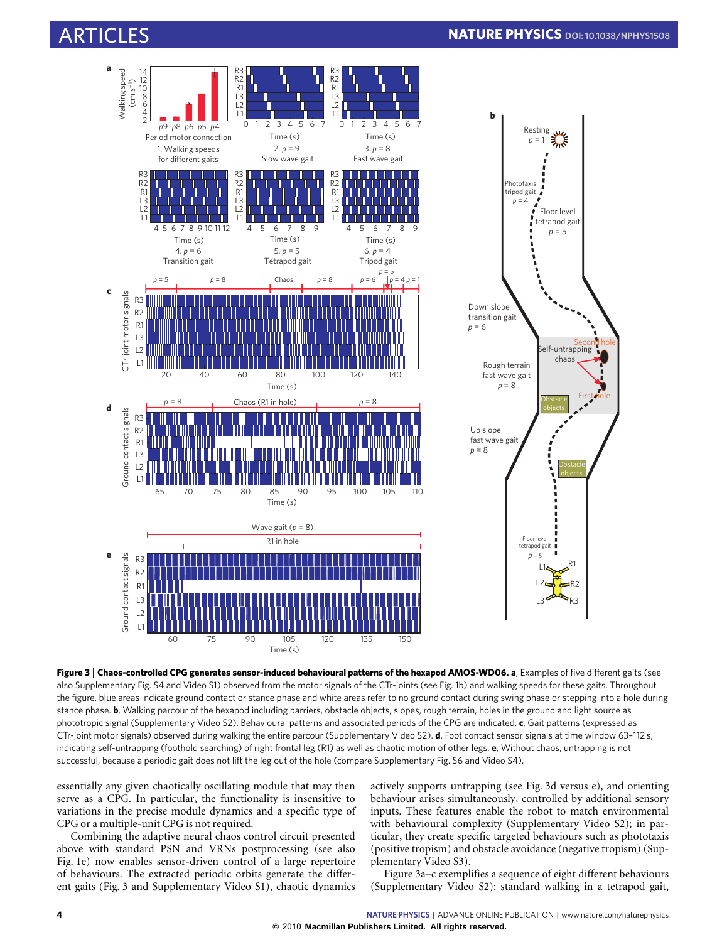



<span id="page-3-0"></span>**Figure 3** | **Chaos-controlled CPG generates sensor-induced behavioural patterns of the hexapod AMOS-WD06. a**, Examples of five different gaits (see also Supplementary Fig. S4 and Video S1) observed from the motor signals of the CTr-joints (see Fig. 1b) and walking speeds for these gaits. Throughout the figure, blue areas indicate ground contact or stance phase and white areas refer to no ground contact during swing phase or stepping into a hole during stance phase. **b**, Walking parcour of the hexapod including barriers, obstacle objects, slopes, rough terrain, holes in the ground and light source as phototropic signal (Supplementary Video S2). Behavioural patterns and associated periods of the CPG are indicated. **c**, Gait patterns (expressed as CTr-joint motor signals) observed during walking the entire parcour (Supplementary Video S2). **d**, Foot contact sensor signals at time window 63–112 s, indicating self-untrapping (foothold searching) of right frontal leg (R1) as well as chaotic motion of other legs. **e**, Without chaos, untrapping is not successful, because a periodic gait does not lift the leg out of the hole (compare Supplementary Fig. S6 and Video S4).

essentially any given chaotically oscillating module that may then serve as a CPG. In particular, the functionality is insensitive to variations in the precise module dynamics and a specific type of CPG or a multiple-unit CPG is not required.

Combining the adaptive neural chaos control circuit presented above with standard PSN and VRNs postprocessing (see also [Fig. 1e](#page-1-0)) now enables sensor-driven control of a large repertoire of behaviours. The extracted periodic orbits generate the different gaits [\(Fig. 3](#page-3-0) and Supplementary Video S1), chaotic dynamics actively supports untrapping (see [Fig. 3d](#page-3-0) versus e), and orienting behaviour arises simultaneously, controlled by additional sensory inputs. These features enable the robot to match environmental with behavioural complexity (Supplementary Video S2); in particular, they create specific targeted behaviours such as phototaxis (positive tropism) and obstacle avoidance (negative tropism) (Supplementary Video S3).

[Figure 3a](#page-3-0)–c exemplifies a sequence of eight different behaviours (Supplementary Video S2): standard walking in a tetrapod gait,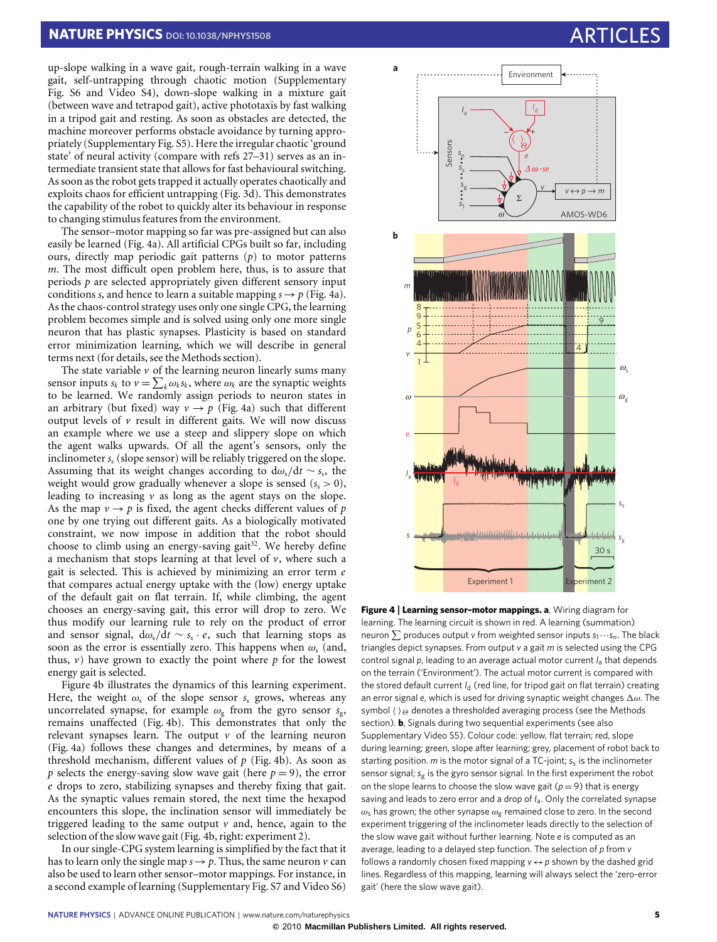# **NATURE PHYSICS** DOI[: 10.1038/NPHYS1508](http://www.nature.com/doifinder/10.1038/nphys1508)

up-slope walking in a wave gait, rough-terrain walking in a wave gait, self-untrapping through chaotic motion (Supplementary Fig. S6 and Video S4), down-slope walking in a mixture gait (between wave and tetrapod gait), active phototaxis by fast walking in a tripod gait and resting. As soon as obstacles are detected, the machine moreover performs obstacle avoidance by turning appropriately (Supplementary Fig. S5). Here the irregular chaotic 'ground state' of neural activity (compare with refs [27–](#page-6-17)[31\)](#page-6-18) serves as an intermediate transient state that allows for fast behavioural switching. As soon as the robot gets trapped it actually operates chaotically and exploits chaos for efficient untrapping [\(Fig. 3d](#page-3-0)). This demonstrates the capability of the robot to quickly alter its behaviour in response to changing stimulus features from the environment.

The sensor–motor mapping so far was pre-assigned but can also easily be learned [\(Fig. 4a](#page-4-0)). All artificial CPGs built so far, including ours, directly map periodic gait patterns (*p*) to motor patterns *m*. The most difficult open problem here, thus, is to assure that periods *p* are selected appropriately given different sensory input conditions *s*, and hence to learn a suitable mapping  $s \rightarrow p$  [\(Fig. 4a](#page-4-0)). As the chaos-control strategy uses only one single CPG, the learning problem becomes simple and is solved using only one more single neuron that has plastic synapses. Plasticity is based on standard error minimization learning, which we will describe in general terms next (for details, see the Methods section).

The state variable  $\nu$  of the learning neuron linearly sums many sensor inputs  $s_k$  to  $v = \sum_k \omega_k s_k$ , where  $\omega_k$  are the synaptic weights to be learned. We randomly assign periods to neuron states in an arbitrary (but fixed) way  $v \rightarrow p$  [\(Fig. 4a](#page-4-0)) such that different output levels of  $\nu$  result in different gaits. We will now discuss an example where we use a steep and slippery slope on which the agent walks upwards. Of all the agent's sensors, only the inclinometer  $s_s$  (slope sensor) will be reliably triggered on the slope. Assuming that its weight changes according to  $d\omega_s/dt \sim s_s$ , the weight would grow gradually whenever a slope is sensed  $(s<sub>s</sub> > 0)$ , leading to increasing  $\nu$  as long as the agent stays on the slope. As the map  $\nu \rightarrow p$  is fixed, the agent checks different values of p one by one trying out different gaits. As a biologically motivated constraint, we now impose in addition that the robot should choose to climb using an energy-saving gait<sup>[32](#page-6-19)</sup>. We hereby define a mechanism that stops learning at that level of *v*, where such a gait is selected. This is achieved by minimizing an error term *e* that compares actual energy uptake with the (low) energy uptake of the default gait on flat terrain. If, while climbing, the agent chooses an energy-saving gait, this error will drop to zero. We thus modify our learning rule to rely on the product of error and sensor signal,  $d\omega_s/dt \sim s_s \cdot e$ , such that learning stops as soon as the error is essentially zero. This happens when  $\omega_s$  (and, thus,  $\nu$ ) have grown to exactly the point where  $\nu$  for the lowest energy gait is selected.

[Figure 4b](#page-4-0) illustrates the dynamics of this learning experiment. Here, the weight  $\omega_s$  of the slope sensor  $s_s$  grows, whereas any uncorrelated synapse, for example ω<sup>g</sup> from the gyro sensor *s*<sup>g</sup> , remains unaffected [\(Fig. 4b](#page-4-0)). This demonstrates that only the relevant synapses learn. The output  $\nu$  of the learning neuron [\(Fig. 4a](#page-4-0)) follows these changes and determines, by means of a threshold mechanism, different values of  $p$  [\(Fig. 4b](#page-4-0)). As soon as *p* selects the energy-saving slow wave gait (here  $p = 9$ ), the error *e* drops to zero, stabilizing synapses and thereby fixing that gait. As the synaptic values remain stored, the next time the hexapod encounters this slope, the inclination sensor will immediately be triggered leading to the same output  $\nu$  and, hence, again to the selection of the slow wave gait [\(Fig. 4b](#page-4-0), right: experiment 2).

In our single-CPG system learning is simplified by the fact that it has to learn only the single map  $s \rightarrow p$ . Thus, the same neuron  $\nu$  can also be used to learn other sensor–motor mappings. For instance, in a second example of learning (Supplementary Fig. S7 and Video S6)



<span id="page-4-0"></span>**Figure 4** | **Learning sensor–motor mappings. a**, Wiring diagram for learning. The learning circuit is shown in red. A learning (summation) neuron  $\sum$  produces output *v* from weighted sensor inputs  $s_1 \cdots s_n$ . The black triangles depict synapses. From output *v* a gait *m* is selected using the CPG control signal *p*, leading to an average actual motor current *I*<sup>a</sup> that depends on the terrain ('Environment'). The actual motor current is compared with the stored default current *I<sub>d</sub>* (red line, for tripod gait on flat terrain) creating an error signal *e*, which is used for driving synaptic weight changes Δω. The symbol  $\langle \ \rangle$  e denotes a thresholded averaging process (see the Methods section). **b**, Signals during two sequential experiments (see also Supplementary Video S5). Colour code: yellow, flat terrain; red, slope during learning; green, slope after learning; grey, placement of robot back to starting position. *m* is the motor signal of a TC-joint; *s*<sup>s</sup> is the inclinometer sensor signal; *s*<sup>g</sup> is the gyro sensor signal. In the first experiment the robot on the slope learns to choose the slow wave gait ( $p = 9$ ) that is energy saving and leads to zero error and a drop of *I*a. Only the correlated synapse  $\omega_{\rm s}$  has grown; the other synapse  $\omega_{\rm g}$  remained close to zero. In the second experiment triggering of the inclinometer leads directly to the selection of the slow wave gait without further learning. Note *e* is computed as an average, leading to a delayed step function. The selection of *p* from *v* follows a randomly chosen fixed mapping  $v \leftrightarrow p$  shown by the dashed grid lines. Regardless of this mapping, learning will always select the 'zero-error gait' (here the slow wave gait).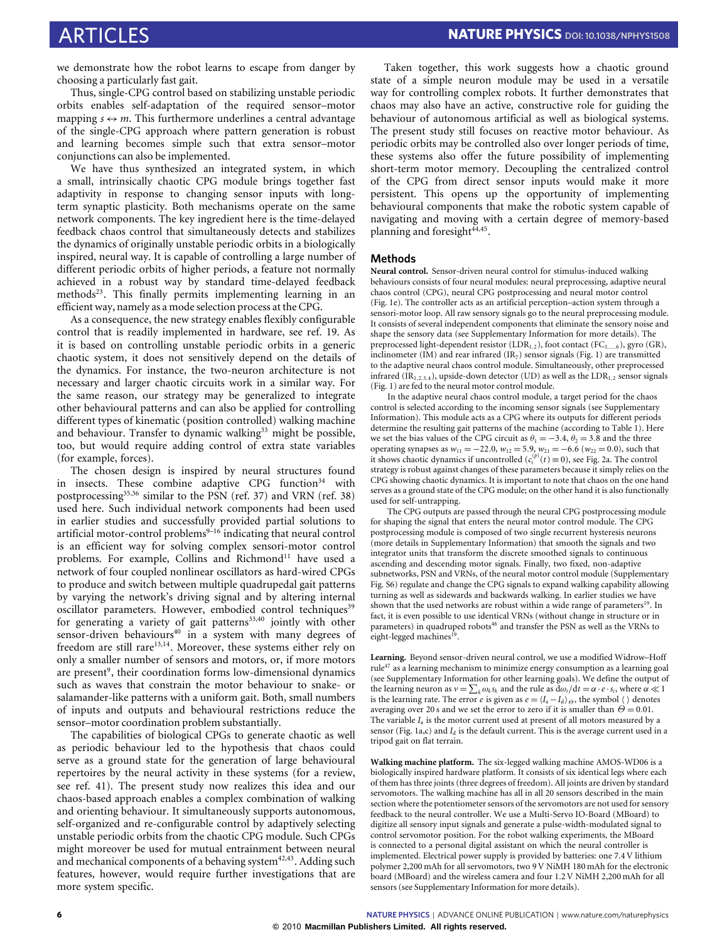we demonstrate how the robot learns to escape from danger by choosing a particularly fast gait.

Thus, single-CPG control based on stabilizing unstable periodic orbits enables self-adaptation of the required sensor–motor mapping  $s \leftrightarrow m$ . This furthermore underlines a central advantage of the single-CPG approach where pattern generation is robust and learning becomes simple such that extra sensor–motor conjunctions can also be implemented.

We have thus synthesized an integrated system, in which a small, intrinsically chaotic CPG module brings together fast adaptivity in response to changing sensor inputs with longterm synaptic plasticity. Both mechanisms operate on the same network components. The key ingredient here is the time-delayed feedback chaos control that simultaneously detects and stabilizes the dynamics of originally unstable periodic orbits in a biologically inspired, neural way. It is capable of controlling a large number of different periodic orbits of higher periods, a feature not normally achieved in a robust way by standard time-delayed feedback methods<sup>[23](#page-6-14)</sup>. This finally permits implementing learning in an efficient way, namely as a mode selection process at the CPG.

As a consequence, the new strategy enables flexibly configurable control that is readily implemented in hardware, see ref. [19.](#page-6-10) As it is based on controlling unstable periodic orbits in a generic chaotic system, it does not sensitively depend on the details of the dynamics. For instance, the two-neuron architecture is not necessary and larger chaotic circuits work in a similar way. For the same reason, our strategy may be generalized to integrate other behavioural patterns and can also be applied for controlling different types of kinematic (position controlled) walking machine and behaviour. Transfer to dynamic walking<sup>[33](#page-6-20)</sup> might be possible, too, but would require adding control of extra state variables (for example, forces).

The chosen design is inspired by neural structures found in insects. These combine adaptive CPG function $34$  with postprocessing[35,](#page-6-22)[36](#page-6-23) similar to the PSN (ref. [37\)](#page-6-24) and VRN (ref. [38\)](#page-6-25) used here. Such individual network components had been used in earlier studies and successfully provided partial solutions to artificial motor-control problems<sup>[9](#page-6-6)-16</sup> indicating that neural control is an efficient way for solving complex sensori-motor control problems. For example, Collins and Richmond<sup>[11](#page-6-26)</sup> have used a network of four coupled nonlinear oscillators as hard-wired CPGs to produce and switch between multiple quadrupedal gait patterns by varying the network's driving signal and by altering internal oscillator parameters. However, embodied control techniques<sup>[39](#page-6-27)</sup> for generating a variety of gait patterns<sup>[33](#page-6-20)[,40](#page-6-28)</sup> jointly with other sensor-driven behaviours<sup>[40](#page-6-28)</sup> in a system with many degrees of freedom are still rare $13,14$  $13,14$ . Moreover, these systems either rely on only a smaller number of sensors and motors, or, if more motors are present<sup>[9](#page-6-6)</sup>, their coordination forms low-dimensional dynamics such as waves that constrain the motor behaviour to snake- or salamander-like patterns with a uniform gait. Both, small numbers of inputs and outputs and behavioural restrictions reduce the sensor–motor coordination problem substantially.

The capabilities of biological CPGs to generate chaotic as well as periodic behaviour led to the hypothesis that chaos could serve as a ground state for the generation of large behavioural repertoires by the neural activity in these systems (for a review, see ref. [41\)](#page-6-31). The present study now realizes this idea and our chaos-based approach enables a complex combination of walking and orienting behaviour. It simultaneously supports autonomous, self-organized and re-configurable control by adaptively selecting unstable periodic orbits from the chaotic CPG module. Such CPGs might moreover be used for mutual entrainment between neural and mechanical components of a behaving system<sup>[42](#page-6-32)[,43](#page-6-33)</sup>. Adding such features, however, would require further investigations that are more system specific.

Taken together, this work suggests how a chaotic ground state of a simple neuron module may be used in a versatile way for controlling complex robots. It further demonstrates that chaos may also have an active, constructive role for guiding the behaviour of autonomous artificial as well as biological systems. The present study still focuses on reactive motor behaviour. As periodic orbits may be controlled also over longer periods of time, these systems also offer the future possibility of implementing short-term motor memory. Decoupling the centralized control of the CPG from direct sensor inputs would make it more persistent. This opens up the opportunity of implementing behavioural components that make the robotic system capable of navigating and moving with a certain degree of memory-based planning and foresight<sup>[44,](#page-6-34)[45](#page-6-35)</sup>.

# **Methods**

**Neural control.** Sensor-driven neural control for stimulus-induced walking behaviours consists of four neural modules: neural preprocessing, adaptive neural chaos control (CPG), neural CPG postprocessing and neural motor control [\(Fig. 1e](#page-1-0)). The controller acts as an artificial perception–action system through a sensori-motor loop. All raw sensory signals go to the neural preprocessing module. It consists of several independent components that eliminate the sensory noise and shape the sensory data (see Supplementary Information for more details). The preprocessed light-dependent resistor (LDR<sub>1,2</sub>), foot contact (FC<sub>1,...,6</sub>), gyro (GR), inclinometer (IM) and rear infrared (IR<sub>7</sub>) sensor signals [\(Fig. 1\)](#page-1-0) are transmitted to the adaptive neural chaos control module. Simultaneously, other preprocessed infrared (IR<sub>1,2,3,4</sub>), upside-down detector (UD) as well as the LDR<sub>1,2</sub> sensor signals [\(Fig. 1\)](#page-1-0) are fed to the neural motor control module.

In the adaptive neural chaos control module, a target period for the chaos control is selected according to the incoming sensor signals (see Supplementary Information). This module acts as a CPG where its outputs for different periods determine the resulting gait patterns of the machine (according to [Table 1\)](#page-1-2). Here we set the bias values of the CPG circuit as  $\theta_1 = -3.4$ ,  $\theta_2 = 3.8$  and the three operating synapses as  $w_{11} = -22.0$ ,  $w_{12} = 5.9$ ,  $w_{21} = -6.6$  ( $w_{22} = 0.0$ ), such that it shows chaotic dynamics if uncontrolled  $(c_i^{(p)}(t) \equiv 0)$ , see [Fig. 2a](#page-2-2). The control strategy is robust against changes of these parameters because it simply relies on the CPG showing chaotic dynamics. It is important to note that chaos on the one hand serves as a ground state of the CPG module; on the other hand it is also functionally used for self-untrapping.

The CPG outputs are passed through the neural CPG postprocessing module for shaping the signal that enters the neural motor control module. The CPG postprocessing module is composed of two single recurrent hysteresis neurons (more details in Supplementary Information) that smooth the signals and two integrator units that transform the discrete smoothed signals to continuous ascending and descending motor signals. Finally, two fixed, non-adaptive subnetworks, PSN and VRNs, of the neural motor control module (Supplementary Fig. S6) regulate and change the CPG signals to expand walking capability allowing turning as well as sidewards and backwards walking. In earlier studies we have shown that the used networks are robust within a wide range of parameters<sup>[19](#page-6-10)</sup>. In fact, it is even possible to use identical VRNs (without change in structure or in parameters) in quadruped robots<sup>[46](#page-6-36)</sup> and transfer the PSN as well as the VRNs to eight-legged machines<sup>[19](#page-6-10)</sup>.

**Learning.** Beyond sensor-driven neural control, we use a modified Widrow–Hoff rule[47](#page-6-37) as a learning mechanism to minimize energy consumption as a learning goal (see Supplementary Information for other learning goals). We define the output of the learning neuron as  $v = \sum_k \omega_k s_k$  and the rule as  $d\omega_i/dt = \alpha \cdot e \cdot s_i$ , where  $\alpha \ll 1$ is the learning rate. The error *e* is given as  $e = \langle I_a - I_d \rangle_\Theta$ , the symbol  $\langle \rangle$  denotes averaging over 20 s and we set the error to zero if it is smaller than  $\Theta = 0.01$ . The variable  $I_a$  is the motor current used at present of all motors measured by a sensor [\(Fig. 1a](#page-1-0),c) and  $I<sub>d</sub>$  is the default current. This is the average current used in a tripod gait on flat terrain.

**Walking machine platform.** The six-legged walking machine AMOS-WD06 is a biologically inspired hardware platform. It consists of six identical legs where each of them has three joints (three degrees of freedom). All joints are driven by standard servomotors. The walking machine has all in all 20 sensors described in the main section where the potentiometer sensors of the servomotors are not used for sensory feedback to the neural controller. We use a Multi-Servo IO-Board (MBoard) to digitize all sensory input signals and generate a pulse-width-modulated signal to control servomotor position. For the robot walking experiments, the MBoard is connected to a personal digital assistant on which the neural controller is implemented. Electrical power supply is provided by batteries: one 7.4 V lithium polymer 2,200 mAh for all servomotors, two 9 V NiMH 180 mAh for the electronic board (MBoard) and the wireless camera and four 1.2 V NiMH 2,200 mAh for all sensors (see Supplementary Information for more details).